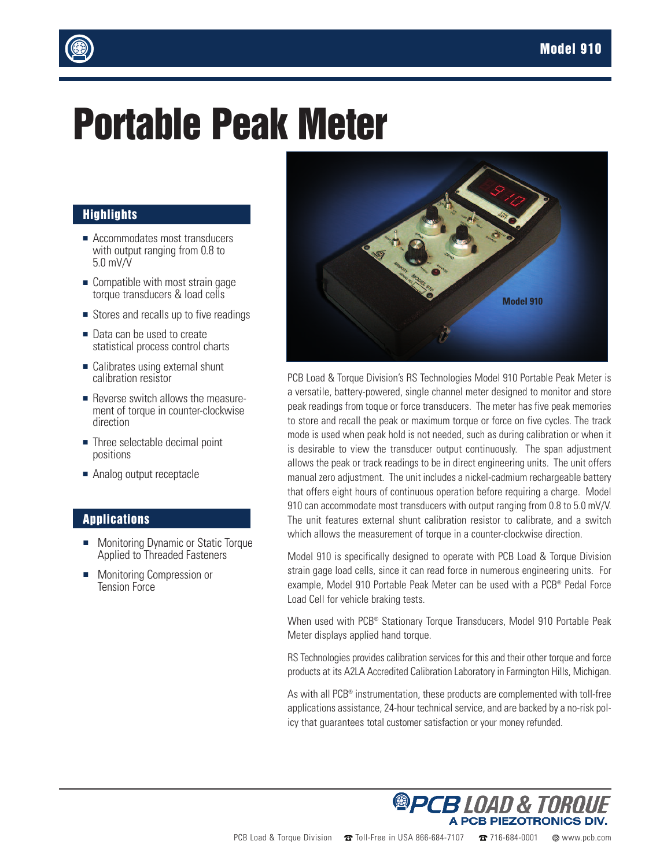

## **Portable Peak Meter**

## **Highlights**

- Accommodates most transducers with output ranging from 0.8 to 5.0 mV/V
- $\blacksquare$  Compatible with most strain gage torque transducers & load cells
- Stores and recalls up to five readings
- Data can be used to create statistical process control charts
- $\blacksquare$  Calibrates using external shunt calibration resistor
- **Exercise** switch allows the measurement of torque in counter-clockwise direction
- $\blacksquare$  Three selectable decimal point positions
- Analog output receptacle

## **Applications**

- **n** Monitoring Dynamic or Static Torque Applied to Threaded Fasteners
- Monitoring Compression or Tension Force



PCB Load & Torque Division's RS Technologies Model 910 Portable Peak Meter is a versatile, battery-powered, single channel meter designed to monitor and store peak readings from toque or force transducers. The meter has five peak memories to store and recall the peak or maximum torque or force on five cycles. The track mode is used when peak hold is not needed, such as during calibration or when it is desirable to view the transducer output continuously. The span adjustment allows the peak or track readings to be in direct engineering units. The unit offers manual zero adjustment. The unit includes a nickel-cadmium rechargeable battery that offers eight hours of continuous operation before requiring a charge. Model 910 can accommodate most transducers with output ranging from 0.8 to 5.0 mV/V. The unit features external shunt calibration resistor to calibrate, and a switch which allows the measurement of torque in a counter-clockwise direction.

Model 910 is specifically designed to operate with PCB Load & Torque Division strain gage load cells, since it can read force in numerous engineering units. For example, Model 910 Portable Peak Meter can be used with a PCB® Pedal Force Load Cell for vehicle braking tests.

When used with PCB® Stationary Torque Transducers, Model 910 Portable Peak Meter displays applied hand torque.

RS Technologies provides calibration services for this and their other torque and force products at its A2LA Accredited Calibration Laboratory in Farmington Hills, Michigan.

As with all PCB® instrumentation, these products are complemented with toll-free applications assistance, 24-hour technical service, and are backed by a no-risk policy that guarantees total customer satisfaction or your money refunded.